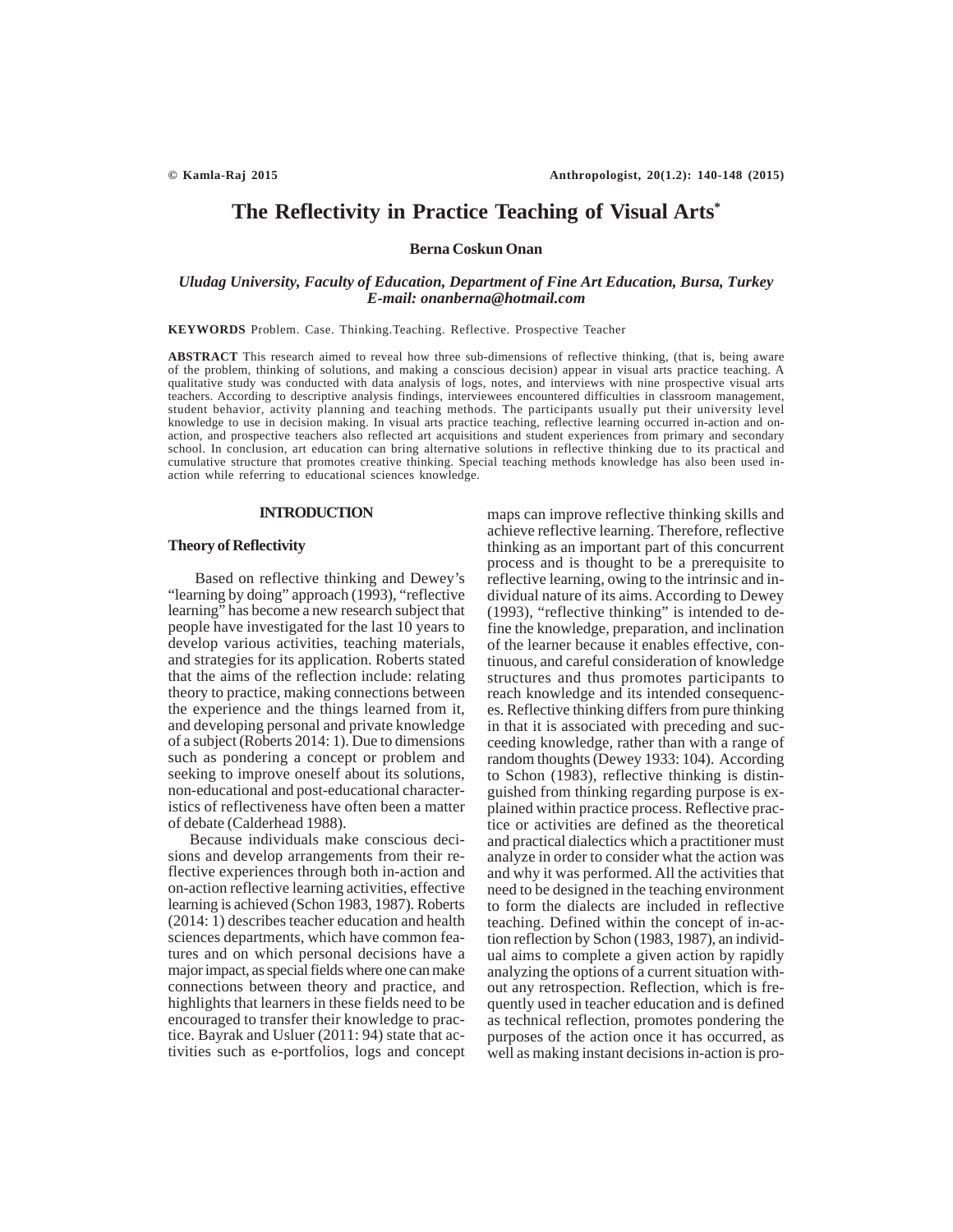# **The Reflectivity in Practice Teaching of Visual Arts\***

**Berna Coskun Onan**

# *Uludag University, Faculty of Education, Department of Fine Art Education, Bursa, Turkey E-mail: onanberna@hotmail.com*

**KEYWORDS** Problem. Case. Thinking.Teaching. Reflective. Prospective Teacher

**ABSTRACT** This research aimed to reveal how three sub-dimensions of reflective thinking, (that is, being aware of the problem, thinking of solutions, and making a conscious decision) appear in visual arts practice teaching. A qualitative study was conducted with data analysis of logs, notes, and interviews with nine prospective visual arts teachers. According to descriptive analysis findings, interviewees encountered difficulties in classroom management, student behavior, activity planning and teaching methods. The participants usually put their university level knowledge to use in decision making. In visual arts practice teaching, reflective learning occurred in-action and onaction, and prospective teachers also reflected art acquisitions and student experiences from primary and secondary school. In conclusion, art education can bring alternative solutions in reflective thinking due to its practical and cumulative structure that promotes creative thinking. Special teaching methods knowledge has also been used inaction while referring to educational sciences knowledge.

#### **INTRODUCTION**

## **Theory of Reflectivity**

Based on reflective thinking and Dewey's "learning by doing" approach (1993), "reflective learning" has become a new research subject that people have investigated for the last 10 years to develop various activities, teaching materials, and strategies for its application. Roberts stated that the aims of the reflection include: relating theory to practice, making connections between the experience and the things learned from it, and developing personal and private knowledge of a subject (Roberts 2014: 1). Due to dimensions such as pondering a concept or problem and seeking to improve oneself about its solutions, non-educational and post-educational characteristics of reflectiveness have often been a matter of debate (Calderhead 1988).

Because individuals make conscious decisions and develop arrangements from their reflective experiences through both in-action and on-action reflective learning activities, effective learning is achieved (Schon 1983, 1987). Roberts (2014: 1) describes teacher education and health sciences departments, which have common features and on which personal decisions have a major impact, as special fields where one can make connections between theory and practice, and highlights that learners in these fields need to be encouraged to transfer their knowledge to practice. Bayrak and Usluer (2011: 94) state that activities such as e-portfolios, logs and concept

maps can improve reflective thinking skills and achieve reflective learning. Therefore, reflective thinking as an important part of this concurrent process and is thought to be a prerequisite to reflective learning, owing to the intrinsic and individual nature of its aims. According to Dewey (1993), "reflective thinking" is intended to define the knowledge, preparation, and inclination of the learner because it enables effective, continuous, and careful consideration of knowledge structures and thus promotes participants to reach knowledge and its intended consequences. Reflective thinking differs from pure thinking in that it is associated with preceding and succeeding knowledge, rather than with a range of random thoughts (Dewey 1933: 104). According to Schon (1983), reflective thinking is distinguished from thinking regarding purpose is explained within practice process. Reflective practice or activities are defined as the theoretical and practical dialectics which a practitioner must analyze in order to consider what the action was and why it was performed. All the activities that need to be designed in the teaching environment to form the dialects are included in reflective teaching. Defined within the concept of in-action reflection by Schon (1983, 1987), an individual aims to complete a given action by rapidly analyzing the options of a current situation without any retrospection. Reflection, which is frequently used in teacher education and is defined as technical reflection, promotes pondering the purposes of the action once it has occurred, as well as making instant decisions in-action is pro-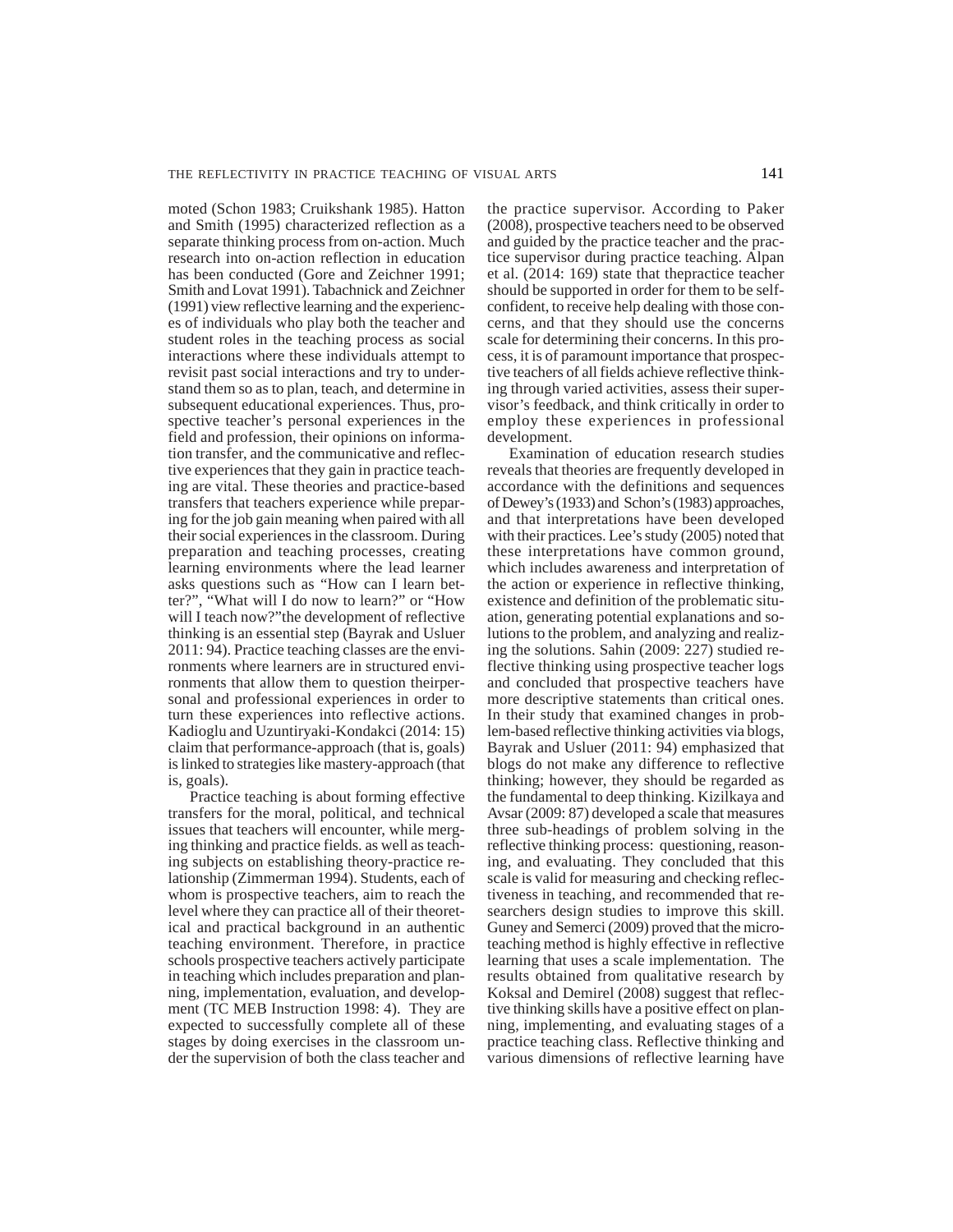moted (Schon 1983; Cruikshank 1985). Hatton and Smith (1995) characterized reflection as a separate thinking process from on-action. Much research into on-action reflection in education has been conducted (Gore and Zeichner 1991; Smith and Lovat 1991). Tabachnick and Zeichner (1991) view reflective learning and the experiences of individuals who play both the teacher and student roles in the teaching process as social interactions where these individuals attempt to revisit past social interactions and try to understand them so as to plan, teach, and determine in subsequent educational experiences. Thus, prospective teacher's personal experiences in the field and profession, their opinions on information transfer, and the communicative and reflective experiences that they gain in practice teaching are vital. These theories and practice-based transfers that teachers experience while preparing for the job gain meaning when paired with all their social experiences in the classroom. During preparation and teaching processes, creating learning environments where the lead learner asks questions such as "How can I learn better?", "What will I do now to learn?" or "How will I teach now?"the development of reflective thinking is an essential step (Bayrak and Usluer 2011: 94). Practice teaching classes are the environments where learners are in structured environments that allow them to question theirpersonal and professional experiences in order to turn these experiences into reflective actions. Kadioglu and Uzuntiryaki-Kondakci (2014: 15) claim that performance-approach (that is, goals) is linked to strategies like mastery-approach (that is, goals).

Practice teaching is about forming effective transfers for the moral, political, and technical issues that teachers will encounter, while merging thinking and practice fields. as well as teaching subjects on establishing theory-practice relationship (Zimmerman 1994). Students, each of whom is prospective teachers, aim to reach the level where they can practice all of their theoretical and practical background in an authentic teaching environment. Therefore, in practice schools prospective teachers actively participate in teaching which includes preparation and planning, implementation, evaluation, and development (TC MEB Instruction 1998: 4). They are expected to successfully complete all of these stages by doing exercises in the classroom under the supervision of both the class teacher and the practice supervisor. According to Paker (2008), prospective teachers need to be observed and guided by the practice teacher and the practice supervisor during practice teaching. Alpan et al. (2014: 169) state that thepractice teacher should be supported in order for them to be selfconfident, to receive help dealing with those concerns, and that they should use the concerns scale for determining their concerns. In this process, it is of paramount importance that prospective teachers of all fields achieve reflective thinking through varied activities, assess their supervisor's feedback, and think critically in order to employ these experiences in professional development.

Examination of education research studies reveals that theories are frequently developed in accordance with the definitions and sequences of Dewey's (1933) and Schon's (1983) approaches, and that interpretations have been developed with their practices. Lee's study (2005) noted that these interpretations have common ground, which includes awareness and interpretation of the action or experience in reflective thinking, existence and definition of the problematic situation, generating potential explanations and solutions to the problem, and analyzing and realizing the solutions. Sahin (2009: 227) studied reflective thinking using prospective teacher logs and concluded that prospective teachers have more descriptive statements than critical ones. In their study that examined changes in problem-based reflective thinking activities via blogs, Bayrak and Usluer (2011: 94) emphasized that blogs do not make any difference to reflective thinking; however, they should be regarded as the fundamental to deep thinking. Kizilkaya and Avsar (2009: 87) developed a scale that measures three sub-headings of problem solving in the reflective thinking process: questioning, reasoning, and evaluating. They concluded that this scale is valid for measuring and checking reflectiveness in teaching, and recommended that researchers design studies to improve this skill. Guney and Semerci (2009) proved that the microteaching method is highly effective in reflective learning that uses a scale implementation. The results obtained from qualitative research by Koksal and Demirel (2008) suggest that reflective thinking skills have a positive effect on planning, implementing, and evaluating stages of a practice teaching class. Reflective thinking and various dimensions of reflective learning have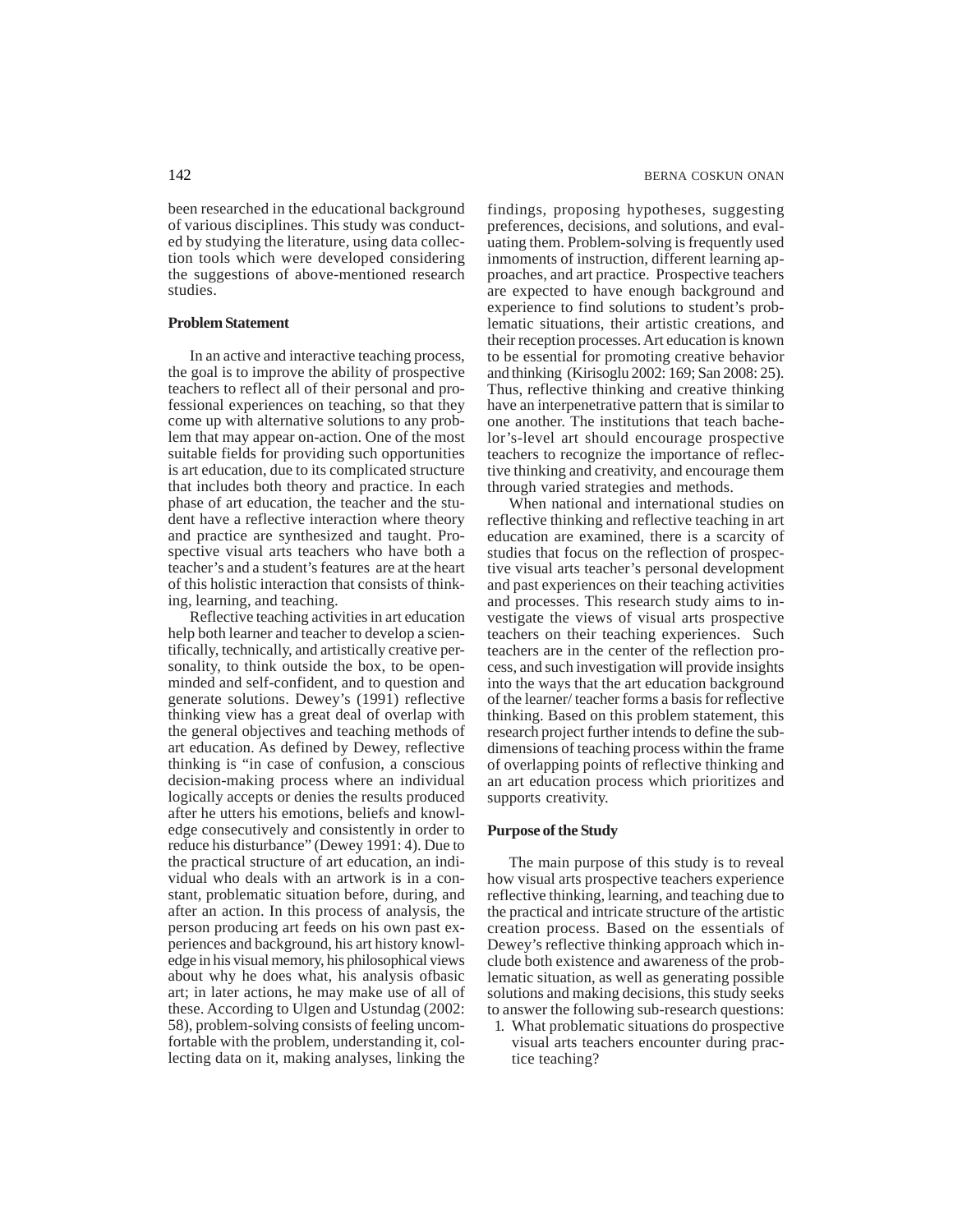been researched in the educational background of various disciplines. This study was conducted by studying the literature, using data collection tools which were developed considering the suggestions of above-mentioned research studies.

# **Problem Statement**

In an active and interactive teaching process, the goal is to improve the ability of prospective teachers to reflect all of their personal and professional experiences on teaching, so that they come up with alternative solutions to any problem that may appear on-action. One of the most suitable fields for providing such opportunities is art education, due to its complicated structure that includes both theory and practice. In each phase of art education, the teacher and the student have a reflective interaction where theory and practice are synthesized and taught. Prospective visual arts teachers who have both a teacher's and a student's features are at the heart of this holistic interaction that consists of thinking, learning, and teaching.

Reflective teaching activities in art education help both learner and teacher to develop a scientifically, technically, and artistically creative personality, to think outside the box, to be openminded and self-confident, and to question and generate solutions. Dewey's (1991) reflective thinking view has a great deal of overlap with the general objectives and teaching methods of art education. As defined by Dewey, reflective thinking is "in case of confusion, a conscious decision-making process where an individual logically accepts or denies the results produced after he utters his emotions, beliefs and knowledge consecutively and consistently in order to reduce his disturbance" (Dewey 1991: 4). Due to the practical structure of art education, an individual who deals with an artwork is in a constant, problematic situation before, during, and after an action. In this process of analysis, the person producing art feeds on his own past experiences and background, his art history knowledge in his visual memory, his philosophical views about why he does what, his analysis ofbasic art; in later actions, he may make use of all of these. According to Ulgen and Ustundag (2002: 58), problem-solving consists of feeling uncomfortable with the problem, understanding it, collecting data on it, making analyses, linking the findings, proposing hypotheses, suggesting preferences, decisions, and solutions, and evaluating them. Problem-solving is frequently used inmoments of instruction, different learning approaches, and art practice. Prospective teachers are expected to have enough background and experience to find solutions to student's problematic situations, their artistic creations, and their reception processes. Art education is known to be essential for promoting creative behavior and thinking (Kirisoglu 2002: 169; San 2008: 25). Thus, reflective thinking and creative thinking have an interpenetrative pattern that is similar to one another. The institutions that teach bachelor's-level art should encourage prospective teachers to recognize the importance of reflective thinking and creativity, and encourage them through varied strategies and methods.

When national and international studies on reflective thinking and reflective teaching in art education are examined, there is a scarcity of studies that focus on the reflection of prospective visual arts teacher's personal development and past experiences on their teaching activities and processes. This research study aims to investigate the views of visual arts prospective teachers on their teaching experiences. Such teachers are in the center of the reflection process, and such investigation will provide insights into the ways that the art education background of the learner/ teacher forms a basis for reflective thinking. Based on this problem statement, this research project further intends to define the subdimensions of teaching process within the frame of overlapping points of reflective thinking and an art education process which prioritizes and supports creativity.

## **Purpose of the Study**

The main purpose of this study is to reveal how visual arts prospective teachers experience reflective thinking, learning, and teaching due to the practical and intricate structure of the artistic creation process. Based on the essentials of Dewey's reflective thinking approach which include both existence and awareness of the problematic situation, as well as generating possible solutions and making decisions, this study seeks to answer the following sub-research questions:

1. What problematic situations do prospective visual arts teachers encounter during practice teaching?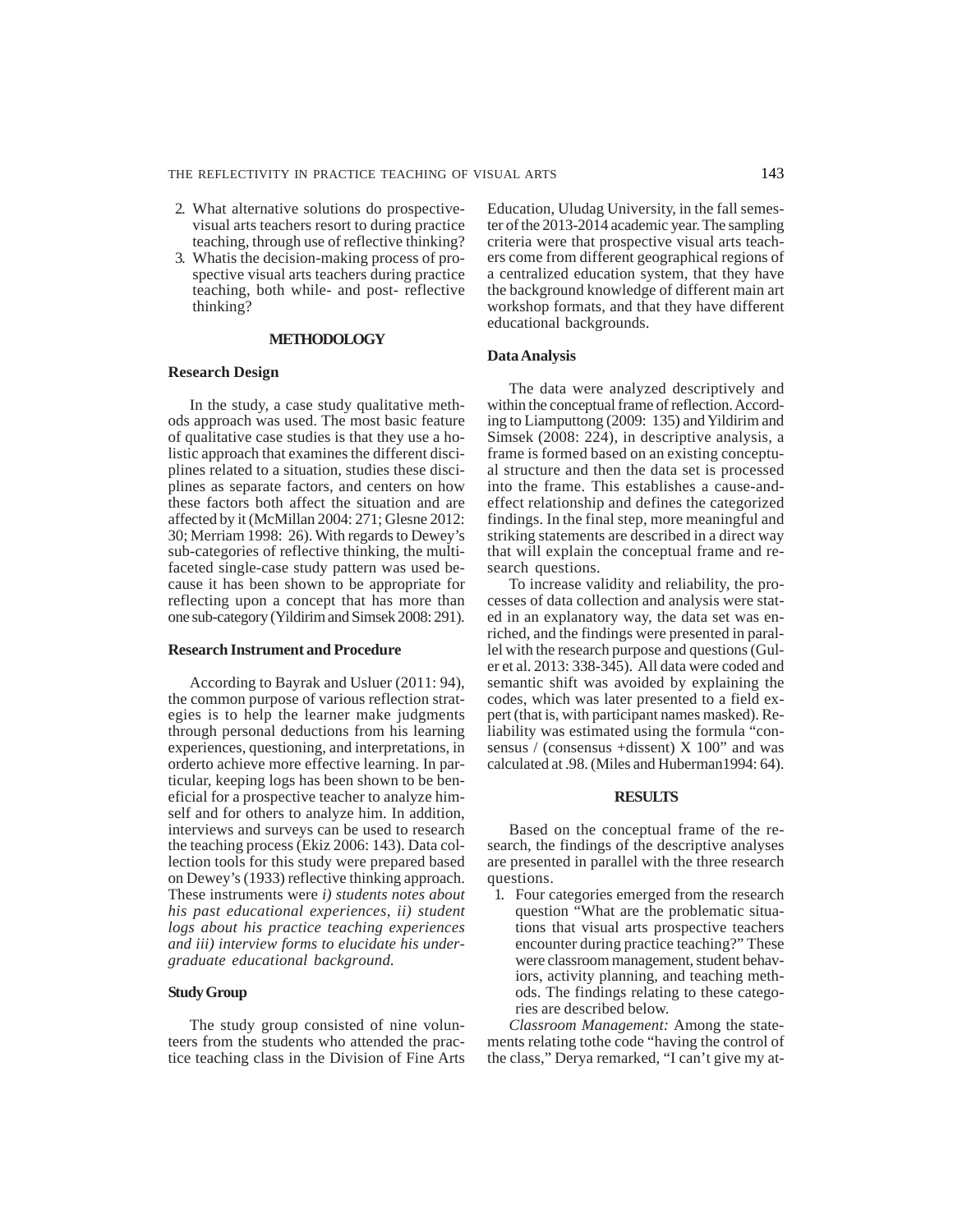- 2. What alternative solutions do prospectivevisual arts teachers resort to during practice teaching, through use of reflective thinking?
- 3. Whatis the decision-making process of prospective visual arts teachers during practice teaching, both while- and post- reflective thinking?

#### **METHODOLOGY**

#### **Research Design**

In the study, a case study qualitative methods approach was used. The most basic feature of qualitative case studies is that they use a holistic approach that examines the different disciplines related to a situation, studies these disciplines as separate factors, and centers on how these factors both affect the situation and are affected by it (McMillan 2004: 271; Glesne 2012: 30; Merriam 1998: 26). With regards to Dewey's sub-categories of reflective thinking, the multifaceted single-case study pattern was used because it has been shown to be appropriate for reflecting upon a concept that has more than one sub-category (Yildirim and Simsek 2008: 291).

## **Research Instrument and Procedure**

According to Bayrak and Usluer (2011: 94), the common purpose of various reflection strategies is to help the learner make judgments through personal deductions from his learning experiences, questioning, and interpretations, in orderto achieve more effective learning. In particular, keeping logs has been shown to be beneficial for a prospective teacher to analyze himself and for others to analyze him. In addition, interviews and surveys can be used to research the teaching process (Ekiz 2006: 143). Data collection tools for this study were prepared based on Dewey's (1933) reflective thinking approach. These instruments were *i) students notes about his past educational experiences, ii) student logs about his practice teaching experiences and iii) interview forms to elucidate his undergraduate educational background.*

## **Study Group**

The study group consisted of nine volunteers from the students who attended the practice teaching class in the Division of Fine Arts Education, Uludag University, in the fall semester of the 2013-2014 academic year. The sampling criteria were that prospective visual arts teachers come from different geographical regions of a centralized education system, that they have the background knowledge of different main art workshop formats, and that they have different educational backgrounds.

#### **Data Analysis**

The data were analyzed descriptively and within the conceptual frame of reflection. According to Liamputtong (2009: 135) and Yildirim and Simsek (2008: 224), in descriptive analysis, a frame is formed based on an existing conceptual structure and then the data set is processed into the frame. This establishes a cause-andeffect relationship and defines the categorized findings. In the final step, more meaningful and striking statements are described in a direct way that will explain the conceptual frame and research questions.

To increase validity and reliability, the processes of data collection and analysis were stated in an explanatory way, the data set was enriched, and the findings were presented in parallel with the research purpose and questions (Guler et al. 2013: 338-345). All data were coded and semantic shift was avoided by explaining the codes, which was later presented to a field expert (that is, with participant names masked). Reliability was estimated using the formula "consensus / (consensus +dissent) X 100" and was calculated at .98. (Miles and Huberman1994: 64).

# **RESULTS**

Based on the conceptual frame of the research, the findings of the descriptive analyses are presented in parallel with the three research questions.

1. Four categories emerged from the research question "What are the problematic situations that visual arts prospective teachers encounter during practice teaching?" These were classroom management, student behaviors, activity planning, and teaching methods. The findings relating to these categories are described below.

*Classroom Management:* Among the statements relating tothe code "having the control of the class," Derya remarked, "I can't give my at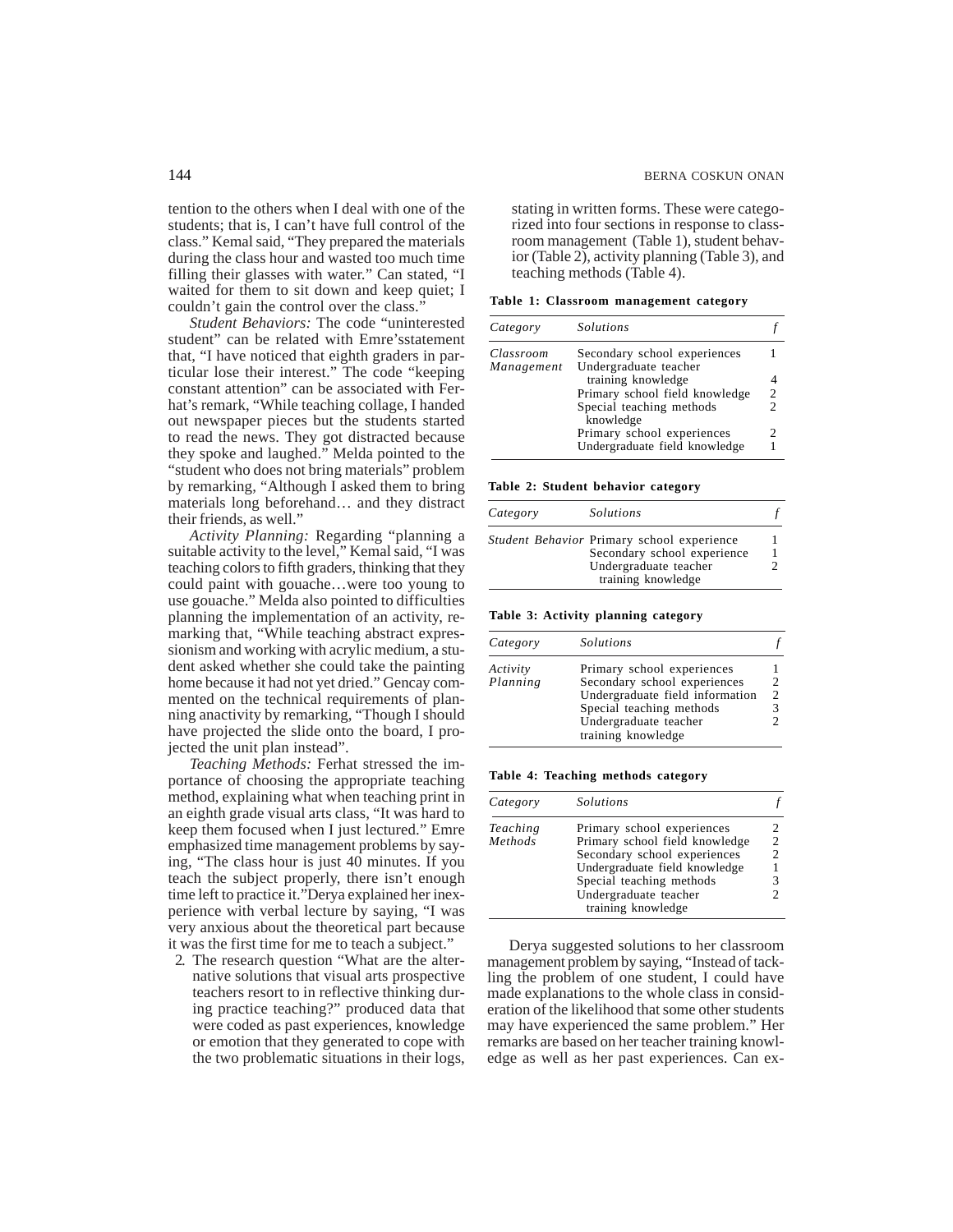tention to the others when I deal with one of the students; that is, I can't have full control of the class." Kemal said, "They prepared the materials during the class hour and wasted too much time filling their glasses with water." Can stated, "I waited for them to sit down and keep quiet; I couldn't gain the control over the class."

*Student Behaviors:* The code "uninterested student" can be related with Emre'sstatement that, "I have noticed that eighth graders in particular lose their interest." The code "keeping constant attention" can be associated with Ferhat's remark, "While teaching collage, I handed out newspaper pieces but the students started to read the news. They got distracted because they spoke and laughed." Melda pointed to the "student who does not bring materials" problem by remarking, "Although I asked them to bring materials long beforehand… and they distract their friends, as well."

*Activity Planning:* Regarding "planning a suitable activity to the level," Kemal said, "I was teaching colors to fifth graders, thinking that they could paint with gouache…were too young to use gouache." Melda also pointed to difficulties planning the implementation of an activity, remarking that, "While teaching abstract expressionism and working with acrylic medium, a student asked whether she could take the painting home because it had not yet dried." Gencay commented on the technical requirements of planning anactivity by remarking, "Though I should have projected the slide onto the board, I projected the unit plan instead".

*Teaching Methods:* Ferhat stressed the importance of choosing the appropriate teaching method, explaining what when teaching print in an eighth grade visual arts class, "It was hard to keep them focused when I just lectured." Emre emphasized time management problems by saying, "The class hour is just 40 minutes. If you teach the subject properly, there isn't enough time left to practice it."Derya explained her inexperience with verbal lecture by saying, "I was very anxious about the theoretical part because it was the first time for me to teach a subject."

2. The research question "What are the alternative solutions that visual arts prospective teachers resort to in reflective thinking during practice teaching?" produced data that were coded as past experiences, knowledge or emotion that they generated to cope with the two problematic situations in their logs, stating in written forms. These were categorized into four sections in response to classroom management (Table 1), student behavior (Table 2), activity planning (Table 3), and teaching methods (Table 4).

**Table 1: Classroom management category**

| <i>Solutions</i>              |                                                                           |
|-------------------------------|---------------------------------------------------------------------------|
| Secondary school experiences  |                                                                           |
| Undergraduate teacher         |                                                                           |
| training knowledge            |                                                                           |
|                               | $\overline{c}$                                                            |
| Special teaching methods      | $\mathfrak{D}$                                                            |
|                               |                                                                           |
| Undergraduate field knowledge |                                                                           |
|                               | Primary school field knowledge<br>knowledge<br>Primary school experiences |

**Table 2: Student behavior category**

| Category | Solutions                                                                                                                |  |
|----------|--------------------------------------------------------------------------------------------------------------------------|--|
|          | Student Behavior Primary school experience<br>Secondary school experience<br>Undergraduate teacher<br>training knowledge |  |

**Table 3: Activity planning category**

| Category             | <i>Solutions</i>                                                                                                                                                         |               |
|----------------------|--------------------------------------------------------------------------------------------------------------------------------------------------------------------------|---------------|
| Activity<br>Planning | Primary school experiences<br>Secondary school experiences<br>Undergraduate field information<br>Special teaching methods<br>Undergraduate teacher<br>training knowledge | $\mathcal{P}$ |

**Table 4: Teaching methods category**

| Category | <i>Solutions</i>               |  |
|----------|--------------------------------|--|
| Teaching | Primary school experiences     |  |
| Methods  | Primary school field knowledge |  |
|          | Secondary school experiences   |  |
|          | Undergraduate field knowledge  |  |
|          | Special teaching methods       |  |
|          | Undergraduate teacher          |  |
|          | training knowledge             |  |

Derya suggested solutions to her classroom management problem by saying, "Instead of tackling the problem of one student, I could have made explanations to the whole class in consideration of the likelihood that some other students may have experienced the same problem." Her remarks are based on her teacher training knowledge as well as her past experiences. Can ex-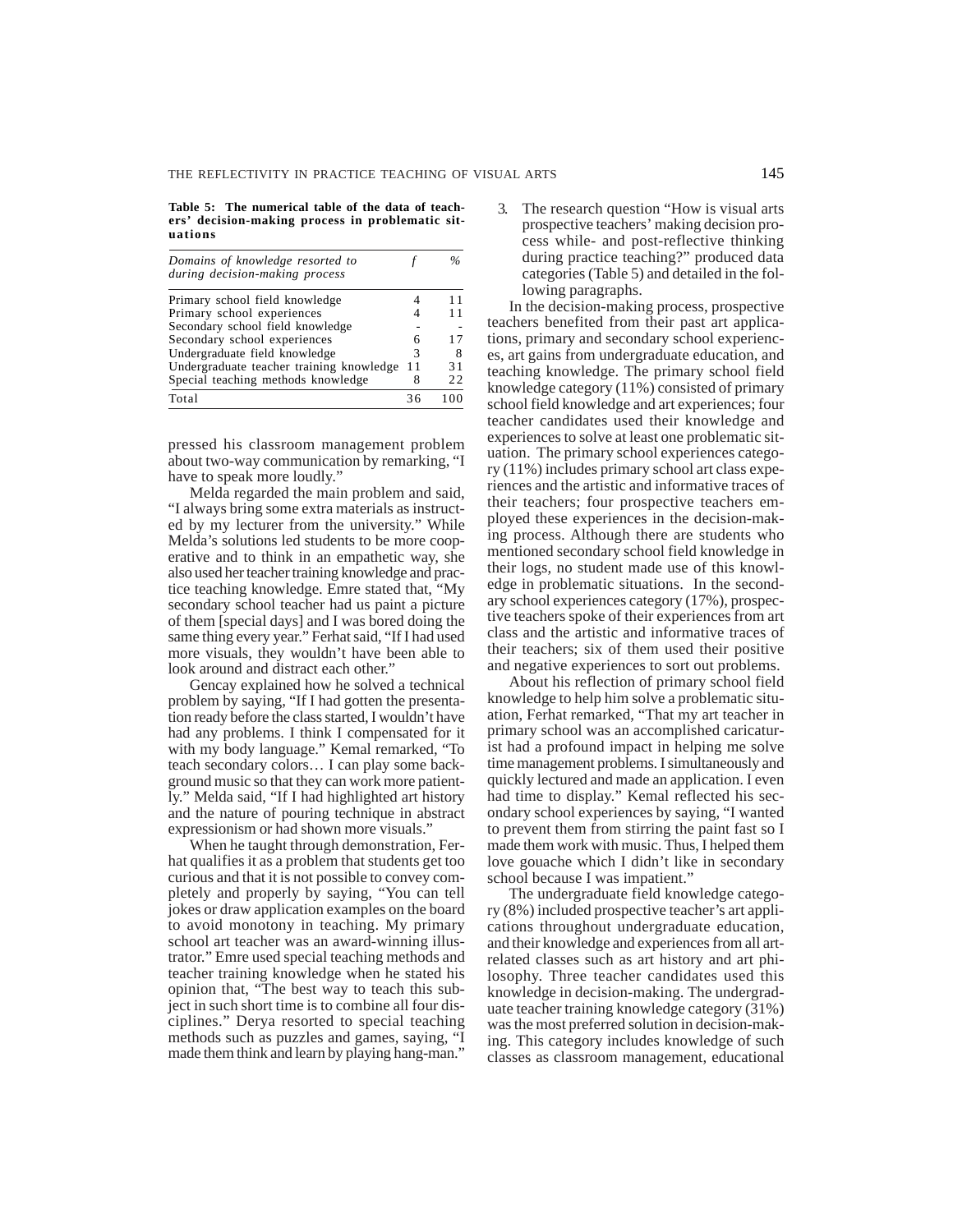**Table 5: The numerical table of the data of teachers' decision-making process in problematic situations**

| Domains of knowledge resorted to<br>during decision-making process |    |    |
|--------------------------------------------------------------------|----|----|
| Primary school field knowledge                                     |    |    |
| Primary school experiences                                         |    |    |
| Secondary school field knowledge                                   |    |    |
| Secondary school experiences                                       | 6  | 17 |
| Undergraduate field knowledge                                      | 3  | 8  |
| Undergraduate teacher training knowledge                           | 11 | 31 |
| Special teaching methods knowledge                                 | 8  | 22 |
| Total                                                              | 36 |    |

pressed his classroom management problem about two-way communication by remarking, "I have to speak more loudly."

Melda regarded the main problem and said, "I always bring some extra materials as instructed by my lecturer from the university." While Melda's solutions led students to be more cooperative and to think in an empathetic way, she also used her teacher training knowledge and practice teaching knowledge. Emre stated that, "My secondary school teacher had us paint a picture of them [special days] and I was bored doing the same thing every year." Ferhat said, "If I had used more visuals, they wouldn't have been able to look around and distract each other."

Gencay explained how he solved a technical problem by saying, "If I had gotten the presentation ready before the class started, I wouldn't have had any problems. I think I compensated for it with my body language." Kemal remarked, "To teach secondary colors… I can play some background music so that they can work more patiently." Melda said, "If I had highlighted art history and the nature of pouring technique in abstract expressionism or had shown more visuals."

When he taught through demonstration, Ferhat qualifies it as a problem that students get too curious and that it is not possible to convey completely and properly by saying, "You can tell jokes or draw application examples on the board to avoid monotony in teaching. My primary school art teacher was an award-winning illustrator." Emre used special teaching methods and teacher training knowledge when he stated his opinion that, "The best way to teach this subject in such short time is to combine all four disciplines." Derya resorted to special teaching methods such as puzzles and games, saying, "I made them think and learn by playing hang-man."

The research question "How is visual arts" prospective teachers' making decision process while- and post-reflective thinking during practice teaching?" produced data categories (Table 5) and detailed in the following paragraphs.

In the decision-making process, prospective teachers benefited from their past art applications, primary and secondary school experiences, art gains from undergraduate education, and teaching knowledge. The primary school field knowledge category (11%) consisted of primary school field knowledge and art experiences; four teacher candidates used their knowledge and experiences to solve at least one problematic situation. The primary school experiences category (11%) includes primary school art class experiences and the artistic and informative traces of their teachers; four prospective teachers employed these experiences in the decision-making process. Although there are students who mentioned secondary school field knowledge in their logs, no student made use of this knowledge in problematic situations. In the secondary school experiences category (17%), prospective teachers spoke of their experiences from art class and the artistic and informative traces of their teachers; six of them used their positive and negative experiences to sort out problems.

About his reflection of primary school field knowledge to help him solve a problematic situation, Ferhat remarked, "That my art teacher in primary school was an accomplished caricaturist had a profound impact in helping me solve time management problems. I simultaneously and quickly lectured and made an application. I even had time to display." Kemal reflected his secondary school experiences by saying, "I wanted to prevent them from stirring the paint fast so I made them work with music. Thus, I helped them love gouache which I didn't like in secondary school because I was impatient.

The undergraduate field knowledge category (8%) included prospective teacher's art applications throughout undergraduate education, and their knowledge and experiences from all artrelated classes such as art history and art philosophy. Three teacher candidates used this knowledge in decision-making. The undergraduate teacher training knowledge category (31%) was the most preferred solution in decision-making. This category includes knowledge of such classes as classroom management, educational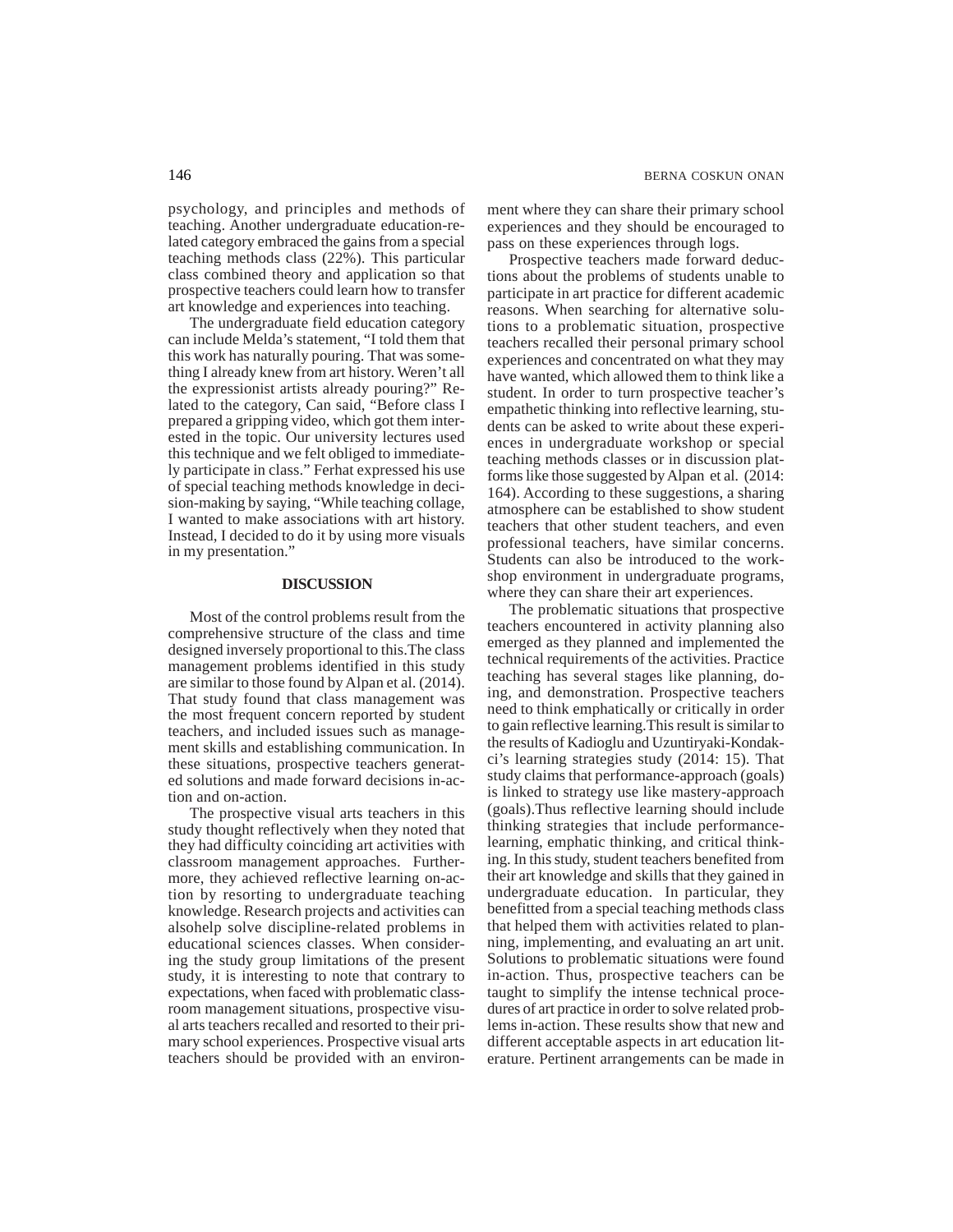psychology, and principles and methods of teaching. Another undergraduate education-related category embraced the gains from a special teaching methods class (22%). This particular class combined theory and application so that prospective teachers could learn how to transfer art knowledge and experiences into teaching.

The undergraduate field education category can include Melda's statement, "I told them that this work has naturally pouring. That was something I already knew from art history. Weren't all the expressionist artists already pouring?" Related to the category, Can said, "Before class I prepared a gripping video, which got them interested in the topic. Our university lectures used this technique and we felt obliged to immediately participate in class." Ferhat expressed his use of special teaching methods knowledge in decision-making by saying, "While teaching collage, I wanted to make associations with art history. Instead, I decided to do it by using more visuals in my presentation."

# **DISCUSSION**

Most of the control problems result from the comprehensive structure of the class and time designed inversely proportional to this.The class management problems identified in this study are similar to those found by Alpan et al. (2014). That study found that class management was the most frequent concern reported by student teachers, and included issues such as management skills and establishing communication. In these situations, prospective teachers generated solutions and made forward decisions in-action and on-action.

The prospective visual arts teachers in this study thought reflectively when they noted that they had difficulty coinciding art activities with classroom management approaches. Furthermore, they achieved reflective learning on-action by resorting to undergraduate teaching knowledge. Research projects and activities can alsohelp solve discipline-related problems in educational sciences classes. When considering the study group limitations of the present study, it is interesting to note that contrary to expectations, when faced with problematic classroom management situations, prospective visual arts teachers recalled and resorted to their primary school experiences. Prospective visual arts teachers should be provided with an environment where they can share their primary school experiences and they should be encouraged to pass on these experiences through logs.

Prospective teachers made forward deductions about the problems of students unable to participate in art practice for different academic reasons. When searching for alternative solutions to a problematic situation, prospective teachers recalled their personal primary school experiences and concentrated on what they may have wanted, which allowed them to think like a student. In order to turn prospective teacher's empathetic thinking into reflective learning, students can be asked to write about these experiences in undergraduate workshop or special teaching methods classes or in discussion platforms like those suggested by Alpan et al. (2014: 164). According to these suggestions, a sharing atmosphere can be established to show student teachers that other student teachers, and even professional teachers, have similar concerns. Students can also be introduced to the workshop environment in undergraduate programs, where they can share their art experiences.

The problematic situations that prospective teachers encountered in activity planning also emerged as they planned and implemented the technical requirements of the activities. Practice teaching has several stages like planning, doing, and demonstration. Prospective teachers need to think emphatically or critically in order to gain reflective learning.This result is similar to the results of Kadioglu and Uzuntiryaki-Kondakci's learning strategies study (2014: 15). That study claims that performance-approach (goals) is linked to strategy use like mastery-approach (goals).Thus reflective learning should include thinking strategies that include performancelearning, emphatic thinking, and critical thinking. In this study, student teachers benefited from their art knowledge and skills that they gained in undergraduate education. In particular, they benefitted from a special teaching methods class that helped them with activities related to planning, implementing, and evaluating an art unit. Solutions to problematic situations were found in-action. Thus, prospective teachers can be taught to simplify the intense technical procedures of art practice in order to solve related problems in-action. These results show that new and different acceptable aspects in art education literature. Pertinent arrangements can be made in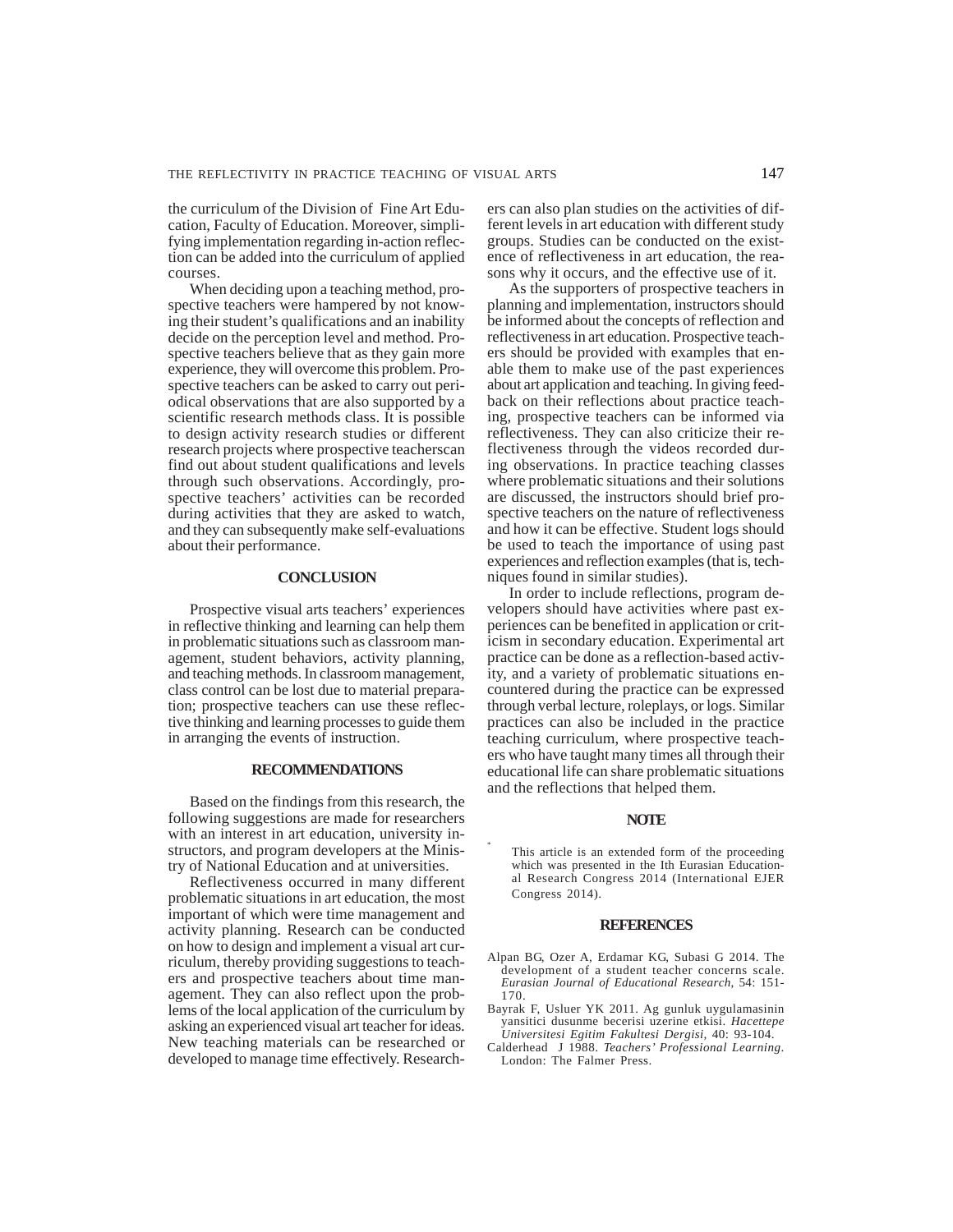the curriculum of the Division of Fine Art Education, Faculty of Education. Moreover, simplifying implementation regarding in-action reflection can be added into the curriculum of applied courses.

When deciding upon a teaching method, prospective teachers were hampered by not knowing their student's qualifications and an inability decide on the perception level and method. Prospective teachers believe that as they gain more experience, they will overcome this problem. Prospective teachers can be asked to carry out periodical observations that are also supported by a scientific research methods class. It is possible to design activity research studies or different research projects where prospective teacherscan find out about student qualifications and levels through such observations. Accordingly, prospective teachers' activities can be recorded during activities that they are asked to watch, and they can subsequently make self-evaluations about their performance.

#### **CONCLUSION**

Prospective visual arts teachers' experiences in reflective thinking and learning can help them in problematic situations such as classroom management, student behaviors, activity planning, and teaching methods. In classroom management, class control can be lost due to material preparation; prospective teachers can use these reflective thinking and learning processes to guide them in arranging the events of instruction.

## **RECOMMENDATIONS**

Based on the findings from this research, the following suggestions are made for researchers with an interest in art education, university instructors, and program developers at the Ministry of National Education and at universities.

Reflectiveness occurred in many different problematic situations in art education, the most important of which were time management and activity planning. Research can be conducted on how to design and implement a visual art curriculum, thereby providing suggestions to teachers and prospective teachers about time management. They can also reflect upon the problems of the local application of the curriculum by asking an experienced visual art teacher for ideas. New teaching materials can be researched or developed to manage time effectively. Researchers can also plan studies on the activities of different levels in art education with different study groups. Studies can be conducted on the existence of reflectiveness in art education, the reasons why it occurs, and the effective use of it.

As the supporters of prospective teachers in planning and implementation, instructors should be informed about the concepts of reflection and reflectiveness in art education. Prospective teachers should be provided with examples that enable them to make use of the past experiences about art application and teaching. In giving feedback on their reflections about practice teaching, prospective teachers can be informed via reflectiveness. They can also criticize their reflectiveness through the videos recorded during observations. In practice teaching classes where problematic situations and their solutions are discussed, the instructors should brief prospective teachers on the nature of reflectiveness and how it can be effective. Student logs should be used to teach the importance of using past experiences and reflection examples (that is, techniques found in similar studies).

In order to include reflections, program developers should have activities where past experiences can be benefited in application or criticism in secondary education. Experimental art practice can be done as a reflection-based activity, and a variety of problematic situations encountered during the practice can be expressed through verbal lecture, roleplays, or logs. Similar practices can also be included in the practice teaching curriculum, where prospective teachers who have taught many times all through their educational life can share problematic situations and the reflections that helped them.

## **NOTE**

This article is an extended form of the proceeding which was presented in the Ith Eurasian Educational Research Congress 2014 (International EJER Congress 2014).

\*

#### **REFERENCES**

- Alpan BG, Ozer A, Erdamar KG, Subasi G 2014. The development of a student teacher concerns scale. *Eurasian Journal of Educational Research*, 54: 151- 170.
- Bayrak F, Usluer YK 2011. Ag gunluk uygulamasinin yansitici dusunme becerisi uzerine etkisi. *Hacettepe Universitesi Egitim Fakultesi Dergisi,* 40: 93-104.
- Calderhead J 1988. *Teachers' Professional Learning*. London: The Falmer Press.